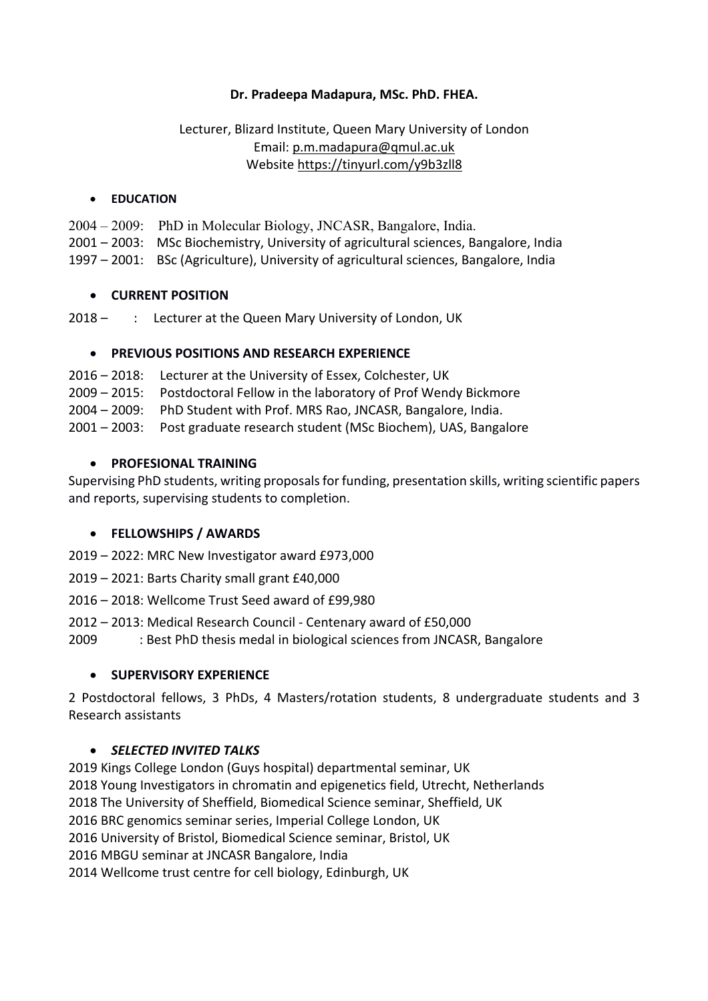## **Dr. Pradeepa Madapura, MSc. PhD. FHEA.**

## Lecturer, Blizard Institute, Queen Mary University of London Email: p.m.madapura@qmul.ac.uk Website https://tinyurl.com/y9b3zll8

#### • **EDUCATION**

2004 – 2009: PhD in Molecular Biology, JNCASR, Bangalore, India. 2001 – 2003: MSc Biochemistry, University of agricultural sciences, Bangalore, India 1997 – 2001: BSc (Agriculture), University of agricultural sciences, Bangalore, India

#### • **CURRENT POSITION**

2018 - : Lecturer at the Queen Mary University of London, UK

### • **PREVIOUS POSITIONS AND RESEARCH EXPERIENCE**

- 2016 2018: Lecturer at the University of Essex, Colchester, UK
- 2009 2015: Postdoctoral Fellow in the laboratory of Prof Wendy Bickmore
- 2004 2009: PhD Student with Prof. MRS Rao, JNCASR, Bangalore, India.
- 2001 2003: Post graduate research student (MSc Biochem), UAS, Bangalore

#### • **PROFESIONAL TRAINING**

Supervising PhD students, writing proposals for funding, presentation skills, writing scientific papers and reports, supervising students to completion.

### • **FELLOWSHIPS / AWARDS**

- 2019 2022: MRC New Investigator award £973,000
- 2019 2021: Barts Charity small grant £40,000
- 2016 2018: Wellcome Trust Seed award of £99,980
- 2012 2013: Medical Research Council Centenary award of £50,000
- 2009 : Best PhD thesis medal in biological sciences from JNCASR, Bangalore

### • **SUPERVISORY EXPERIENCE**

2 Postdoctoral fellows, 3 PhDs, 4 Masters/rotation students, 8 undergraduate students and 3 Research assistants

### • *SELECTED INVITED TALKS*

2019 Kings College London (Guys hospital) departmental seminar, UK 2018 Young Investigators in chromatin and epigenetics field, Utrecht, Netherlands 2018 The University of Sheffield, Biomedical Science seminar, Sheffield, UK 2016 BRC genomics seminar series, Imperial College London, UK 2016 University of Bristol, Biomedical Science seminar, Bristol, UK 2016 MBGU seminar at JNCASR Bangalore, India 2014 Wellcome trust centre for cell biology, Edinburgh, UK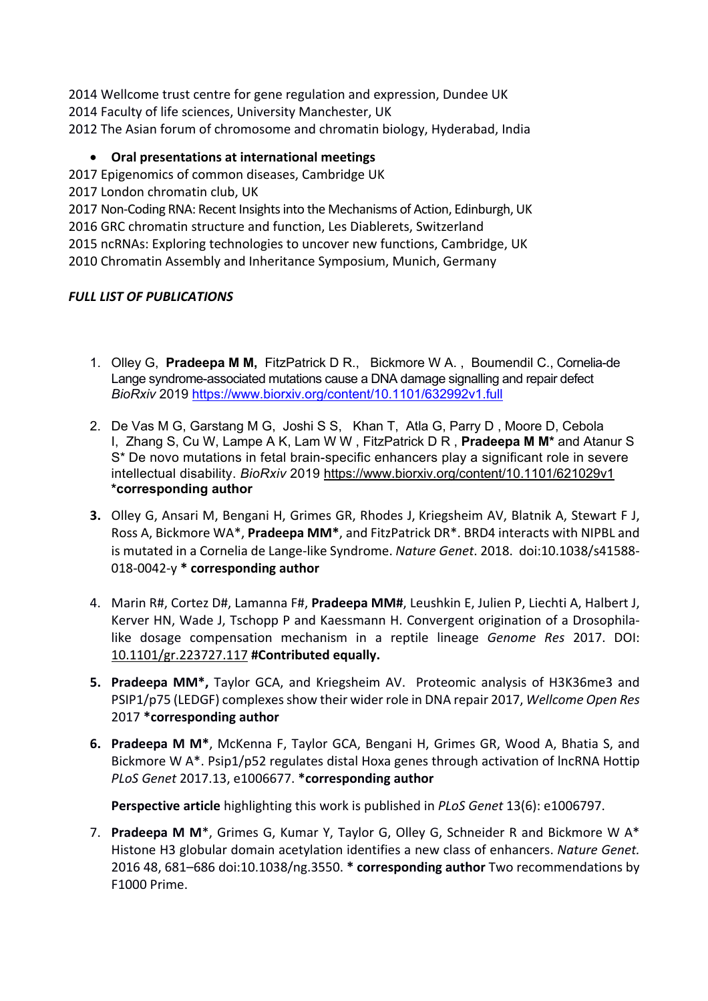2014 Wellcome trust centre for gene regulation and expression, Dundee UK 2014 Faculty of life sciences, University Manchester, UK 2012 The Asian forum of chromosome and chromatin biology, Hyderabad, India

# • **Oral presentations at international meetings**

2017 Epigenomics of common diseases, Cambridge UK

2017 London chromatin club, UK

2017 Non-Coding RNA: Recent Insights into the Mechanisms of Action, Edinburgh, UK 2016 GRC chromatin structure and function, Les Diablerets, Switzerland 2015 ncRNAs: Exploring technologies to uncover new functions, Cambridge, UK 2010 Chromatin Assembly and Inheritance Symposium, Munich, Germany

# *FULL LIST OF PUBLICATIONS*

- 1. Olley G, **Pradeepa M M,** FitzPatrick D R., Bickmore W A. , Boumendil C., Cornelia-de Lange syndrome-associated mutations cause a DNA damage signalling and repair defect *BioRxiv* 2019 https://www.biorxiv.org/content/10.1101/632992v1.full
- 2. De Vas M G, Garstang M G, Joshi S S, Khan T, Atla G, Parry D , Moore D, Cebola I, Zhang S, Cu W, Lampe A K, Lam W W , FitzPatrick D R , **Pradeepa M M\*** and Atanur S S\* De novo mutations in fetal brain-specific enhancers play a significant role in severe intellectual disability. *BioRxiv* 2019 https://www.biorxiv.org/content/10.1101/621029v1 **\*corresponding author**
- **3.** Olley G, Ansari M, Bengani H, Grimes GR, Rhodes J, Kriegsheim AV, Blatnik A, Stewart F J, Ross A, Bickmore WA\*, **Pradeepa MM\***, and FitzPatrick DR\*. BRD4 interacts with NIPBL and is mutated in a Cornelia de Lange-like Syndrome. *Nature Genet*. 2018. doi:10.1038/s41588- 018-0042-y **\* corresponding author**
- 4. Marin R#, Cortez D#, Lamanna F#, **Pradeepa MM#**, Leushkin E, Julien P, Liechti A, Halbert J, Kerver HN, Wade J, Tschopp P and Kaessmann H. Convergent origination of a Drosophilalike dosage compensation mechanism in a reptile lineage *Genome Res* 2017. DOI: 10.1101/gr.223727.117 **#Contributed equally.**
- **5. Pradeepa MM\*,** Taylor GCA, and Kriegsheim AV. Proteomic analysis of H3K36me3 and PSIP1/p75 (LEDGF) complexes show their wider role in DNA repair 2017, *Wellcome Open Res* 2017 **\*corresponding author**
- **6. Pradeepa M M\***, McKenna F, Taylor GCA, Bengani H, Grimes GR, Wood A, Bhatia S, and Bickmore W A\*. Psip1/p52 regulates distal Hoxa genes through activation of lncRNA Hottip *PLoS Genet* 2017.13, e1006677. **\*corresponding author**

**Perspective article** highlighting this work is published in *PLoS Genet* 13(6): e1006797.

7. **Pradeepa M M**\*, Grimes G, Kumar Y, Taylor G, Olley G, Schneider R and Bickmore W A\* Histone H3 globular domain acetylation identifies a new class of enhancers. *Nature Genet.* 2016 48, 681–686 doi:10.1038/ng.3550. **\* corresponding author** Two recommendations by F1000 Prime.